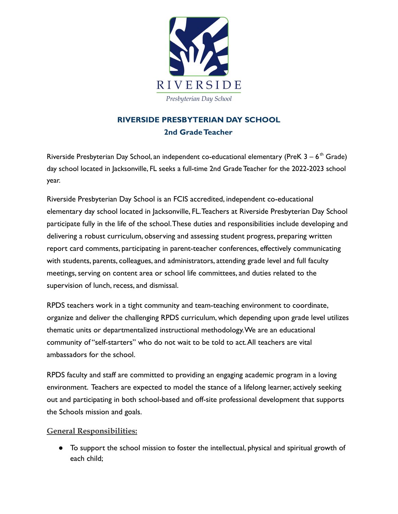

## **RIVERSIDE PRESBYTERIAN DAY SCHOOL 2nd Grade Teacher**

Riverside Presbyterian Day School, an independent co-educational elementary (PreK  $3-6$ <sup>th</sup> Grade) day school located in Jacksonville, FL seeks a full-time 2nd Grade Teacher for the 2022-2023 school year.

Riverside Presbyterian Day School is an FCIS accredited, independent co-educational elementary day school located in Jacksonville, FL.Teachers at Riverside Presbyterian Day School participate fully in the life of the school.These duties and responsibilities include developing and delivering a robust curriculum, observing and assessing student progress, preparing written report card comments, participating in parent-teacher conferences, effectively communicating with students, parents, colleagues, and administrators, attending grade level and full faculty meetings, serving on content area or school life committees, and duties related to the supervision of lunch, recess, and dismissal.

RPDS teachers work in a tight community and team-teaching environment to coordinate, organize and deliver the challenging RPDS curriculum, which depending upon grade level utilizes thematic units or departmentalized instructional methodology.We are an educational community of "self-starters" who do not wait to be told to act.All teachers are vital ambassadors for the school.

RPDS faculty and staff are committed to providing an engaging academic program in a loving environment. Teachers are expected to model the stance of a lifelong learner, actively seeking out and participating in both school-based and off-site professional development that supports the Schools mission and goals.

## **General Responsibilities:**

● To support the school mission to foster the intellectual, physical and spiritual growth of each child;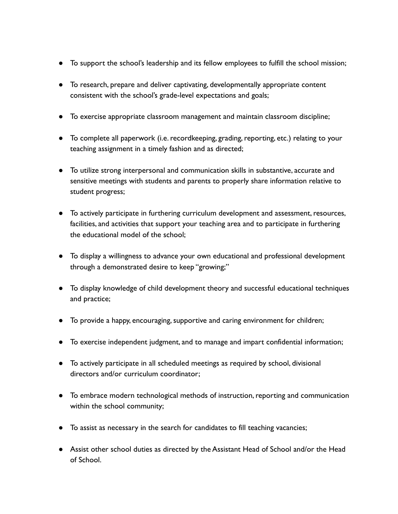- To support the school's leadership and its fellow employees to fulfill the school mission;
- To research, prepare and deliver captivating, developmentally appropriate content consistent with the school's grade-level expectations and goals;
- To exercise appropriate classroom management and maintain classroom discipline;
- To complete all paperwork (i.e. recordkeeping, grading, reporting, etc.) relating to your teaching assignment in a timely fashion and as directed;
- To utilize strong interpersonal and communication skills in substantive, accurate and sensitive meetings with students and parents to properly share information relative to student progress;
- To actively participate in furthering curriculum development and assessment, resources, facilities, and activities that support your teaching area and to participate in furthering the educational model of the school;
- To display a willingness to advance your own educational and professional development through a demonstrated desire to keep "growing;"
- To display knowledge of child development theory and successful educational techniques and practice;
- To provide a happy, encouraging, supportive and caring environment for children;
- To exercise independent judgment, and to manage and impart confidential information;
- To actively participate in all scheduled meetings as required by school, divisional directors and/or curriculum coordinator;
- To embrace modern technological methods of instruction, reporting and communication within the school community;
- To assist as necessary in the search for candidates to fill teaching vacancies;
- Assist other school duties as directed by the Assistant Head of School and/or the Head of School.